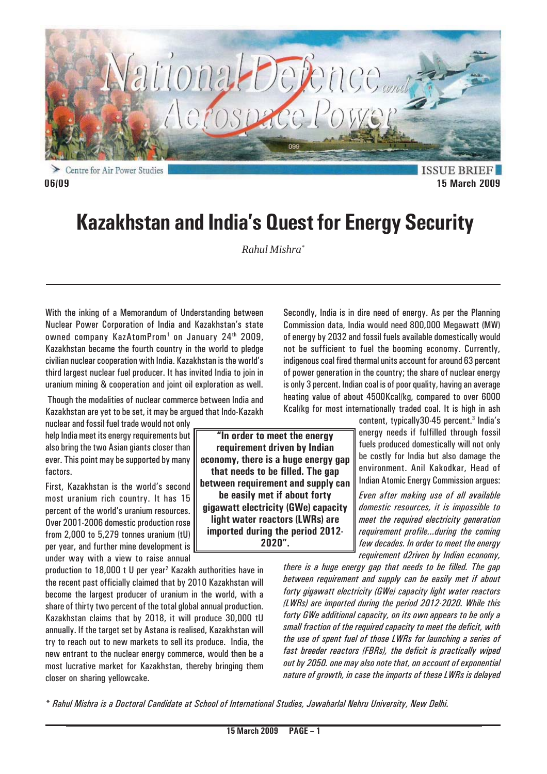

Centre for Air Power Studies

**ISSUE BRIEF 06/09 15 March 2009**

# **Kazakhstan and India's Quest for Energy Security**

*Rahul Mishra\**

**"In order to meet the energy requirement driven by Indian economy, there is a huge energy gap that needs to be filled. The gap between requirement and supply can be easily met if about forty gigawatt electricity (GWe) capacity light water reactors (LWRs) are imported during the period 2012- 2020".**

With the inking of a Memorandum of Understanding between Nuclear Power Corporation of India and Kazakhstan's state owned company KazAtomProm<sup>1</sup> on January 24<sup>th</sup> 2009, Kazakhstan became the fourth country in the world to pledge civilian nuclear cooperation with India. Kazakhstan is the world's third largest nuclear fuel producer. It has invited India to join in uranium mining & cooperation and joint oil exploration as well.

 Though the modalities of nuclear commerce between India and Kazakhstan are yet to be set, it may be argued that Indo-Kazakh

nuclear and fossil fuel trade would not only help India meet its energy requirements but also bring the two Asian giants closer than ever. This point may be supported by many factors.

First, Kazakhstan is the world's second most uranium rich country. It has 15 percent of the world's uranium resources. Over 2001-2006 domestic production rose from 2,000 to 5,279 tonnes uranium (tU) per year, and further mine development is under way with a view to raise annual

production to 18,000 t U per year<sup>2</sup> Kazakh authorities have in the recent past officially claimed that by 2010 Kazakhstan will become the largest producer of uranium in the world, with a share of thirty two percent of the total global annual production. Kazakhstan claims that by 2018, it will produce 30,000 tU annually. If the target set by Astana is realised, Kazakhstan will try to reach out to new markets to sell its produce. India, the new entrant to the nuclear energy commerce, would then be a most lucrative market for Kazakhstan, thereby bringing them closer on sharing yellowcake.

Commission data, India would need 800,000 Megawatt (MW) of energy by 2032 and fossil fuels available domestically would not be sufficient to fuel the booming economy. Currently, indigenous coal fired thermal units account for around 63 percent of power generation in the country; the share of nuclear energy is only 3 percent. Indian coal is of poor quality, having an average heating value of about 4500Kcal/kg, compared to over 6000 Kcal/kg for most internationally traded coal. It is high in ash content, typically30-45 percent.<sup>3</sup> India's

Secondly, India is in dire need of energy. As per the Planning

energy needs if fulfilled through fossil fuels produced domestically will not only be costly for India but also damage the environment. Anil Kakodkar, Head of Indian Atomic Energy Commission argues:

*Even after making use of all available domestic resources, it is impossible to meet the required electricity generation requirement profile...during the coming few decades. In order to meet the energy requirement d2riven by Indian economy,*

*there is a huge energy gap that needs to be filled. The gap between requirement and supply can be easily met if about forty gigawatt electricity (GWe) capacity light water reactors (LWRs) are imported during the period 2012-2020. While this forty GWe additional capacity, on its own appears to be only a small fraction of the required capacity to meet the deficit, with the use of spent fuel of those LWRs for launching a series of fast breeder reactors (FBRs), the deficit is practically wiped out by 2050. one may also note that, on account of exponential nature of growth, in case the imports of these LWRs is delayed*

*\* Rahul Mishra is a Doctoral Candidate at School of International Studies, Jawaharlal Nehru University, New Delhi.*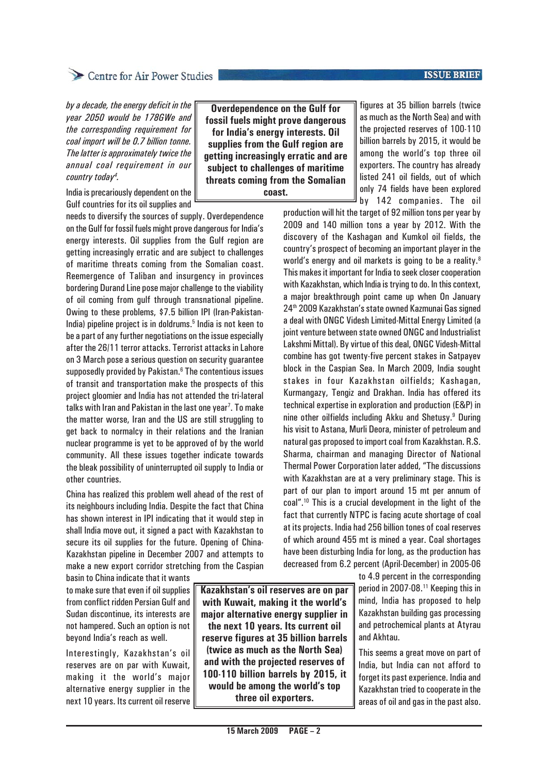### **ISSUE BRIEF**

*by a decade, the energy deficit in the year 2050 would be 178GWe and the corresponding requirement for coal import will be 0.7 billion tonne. The latter is approximately twice the annual coal requirement in our country today4 .*

India is precariously dependent on the Gulf countries for its oil supplies and

needs to diversify the sources of supply. Overdependence on the Gulf for fossil fuels might prove dangerous for India's energy interests. Oil supplies from the Gulf region are getting increasingly erratic and are subject to challenges of maritime threats coming from the Somalian coast. Reemergence of Taliban and insurgency in provinces bordering Durand Line pose major challenge to the viability of oil coming from gulf through transnational pipeline. Owing to these problems, \$7.5 billion IPI (Iran-Pakistan-India) pipeline project is in doldrums.<sup>5</sup> India is not keen to be a part of any further negotiations on the issue especially after the 26/11 terror attacks. Terrorist attacks in Lahore on 3 March pose a serious question on security guarantee supposedly provided by Pakistan.<sup>6</sup> The contentious issues of transit and transportation make the prospects of this project gloomier and India has not attended the tri-lateral talks with Iran and Pakistan in the last one year<sup>7</sup>. To make the matter worse, Iran and the US are still struggling to get back to normalcy in their relations and the Iranian nuclear programme is yet to be approved of by the world community. All these issues together indicate towards the bleak possibility of uninterrupted oil supply to India or other countries.

China has realized this problem well ahead of the rest of its neighbours including India. Despite the fact that China has shown interest in IPI indicating that it would step in shall India move out, it signed a pact with Kazakhstan to secure its oil supplies for the future. Opening of China-Kazakhstan pipeline in December 2007 and attempts to make a new export corridor stretching from the Caspian

basin to China indicate that it wants to make sure that even if oil supplies from conflict ridden Persian Gulf and Sudan discontinue, its interests are not hampered. Such an option is not beyond India's reach as well.

Interestingly, Kazakhstan's oil reserves are on par with Kuwait, making it the world's major alternative energy supplier in the next 10 years. Its current oil reserve

**Kazakhstan's oil reserves are on par with Kuwait, making it the world's major alternative energy supplier in the next 10 years. Its current oil reserve figures at 35 billion barrels (twice as much as the North Sea) and with the projected reserves of 100-110 billion barrels by 2015, it would be among the world's top three oil exporters.**

**Overdependence on the Gulf for fossil fuels might prove dangerous for India's energy interests. Oil supplies from the Gulf region are getting increasingly erratic and are subject to challenges of maritime threats coming from the Somalian coast.**

figures at 35 billion barrels (twice as much as the North Sea) and with the projected reserves of 100-110 billion barrels by 2015, it would be among the world's top three oil exporters. The country has already listed 241 oil fields, out of which only 74 fields have been explored by 142 companies. The oil

production will hit the target of 92 million tons per year by 2009 and 140 million tons a year by 2012. With the discovery of the Kashagan and Kumkol oil fields, the country's prospect of becoming an important player in the world's energy and oil markets is going to be a reality.<sup>8</sup> This makes it important for India to seek closer cooperation with Kazakhstan, which India is trying to do. In this context, a major breakthrough point came up when On January 24th 2009 Kazakhstan's state owned Kazmunai Gas signed a deal with ONGC Videsh Limited-Mittal Energy Limited (a joint venture between state owned ONGC and Industrialist Lakshmi Mittal). By virtue of this deal, ONGC Videsh-Mittal combine has got twenty-five percent stakes in Satpayev block in the Caspian Sea. In March 2009, India sought stakes in four Kazakhstan oilfields; Kashagan, Kurmangazy, Tengiz and Drakhan. India has offered its technical expertise in exploration and production (E&P) in nine other oilfields including Akku and Shetusy.<sup>9</sup> During his visit to Astana, Murli Deora, minister of petroleum and natural gas proposed to import coal from Kazakhstan. R.S. Sharma, chairman and managing Director of National Thermal Power Corporation later added, "The discussions with Kazakhstan are at a very preliminary stage. This is part of our plan to import around 15 mt per annum of coal".10 This is a crucial development in the light of the fact that currently NTPC is facing acute shortage of coal at its projects. India had 256 billion tones of coal reserves of which around 455 mt is mined a year. Coal shortages have been disturbing India for long, as the production has decreased from 6.2 percent (April-December) in 2005-06

> to 4.9 percent in the corresponding period in 2007-08.<sup>11</sup> Keeping this in mind, India has proposed to help Kazakhstan building gas processing and petrochemical plants at Atyrau and Akhtau.

> This seems a great move on part of India, but India can not afford to forget its past experience. India and Kazakhstan tried to cooperate in the areas of oil and gas in the past also.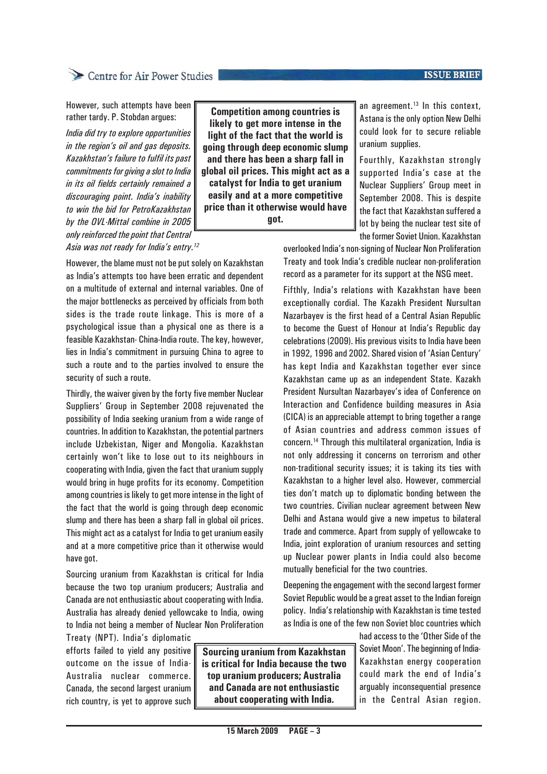### **ISSUE BRIEF**

## Centre for Air Power Studies

However, such attempts have been rather tardy. P. Stobdan argues:

*India did try to explore opportunities in the region's oil and gas deposits. Kazakhstan's failure to fulfil its past commitments for giving a slot to India in its oil fields certainly remained a discouraging point. India's inability to win the bid for PetroKazakhstan by the OVL-Mittal combine in 2005 only reinforced the point that Central Asia was not ready for India's entry.12*

**Competition among countries is likely to get more intense in the light of the fact that the world is going through deep economic slump and there has been a sharp fall in global oil prices. This might act as a catalyst for India to get uranium easily and at a more competitive price than it otherwise would have got.**

an agreement.13 In this context, Astana is the only option New Delhi could look for to secure reliable uranium supplies.

Fourthly, Kazakhstan strongly supported India's case at the Nuclear Suppliers' Group meet in September 2008. This is despite the fact that Kazakhstan suffered a lot by being the nuclear test site of the former Soviet Union. Kazakhstan

overlooked India's non-signing of Nuclear Non Proliferation Treaty and took India's credible nuclear non-proliferation record as a parameter for its support at the NSG meet.

Fifthly, India's relations with Kazakhstan have been exceptionally cordial. The Kazakh President Nursultan Nazarbayev is the first head of a Central Asian Republic to become the Guest of Honour at India's Republic day celebrations (2009). His previous visits to India have been in 1992, 1996 and 2002. Shared vision of 'Asian Century' has kept India and Kazakhstan together ever since Kazakhstan came up as an independent State. Kazakh President Nursultan Nazarbayev's idea of Conference on Interaction and Confidence building measures in Asia (CICA) is an appreciable attempt to bring together a range of Asian countries and address common issues of concern.14 Through this multilateral organization, India is not only addressing it concerns on terrorism and other non-traditional security issues; it is taking its ties with Kazakhstan to a higher level also. However, commercial ties don't match up to diplomatic bonding between the two countries. Civilian nuclear agreement between New Delhi and Astana would give a new impetus to bilateral trade and commerce. Apart from supply of yellowcake to India, joint exploration of uranium resources and setting up Nuclear power plants in India could also become mutually beneficial for the two countries.

Deepening the engagement with the second largest former Soviet Republic would be a great asset to the Indian foreign policy. India's relationship with Kazakhstan is time tested as India is one of the few non Soviet bloc countries which

> had access to the 'Other Side of the Soviet Moon'. The beginning of India-Kazakhstan energy cooperation could mark the end of India's arguably inconsequential presence in the Central Asian region.

However, the blame must not be put solely on Kazakhstan as India's attempts too have been erratic and dependent on a multitude of external and internal variables. One of the major bottlenecks as perceived by officials from both sides is the trade route linkage. This is more of a psychological issue than a physical one as there is a feasible Kazakhstan- China-India route. The key, however, lies in India's commitment in pursuing China to agree to such a route and to the parties involved to ensure the security of such a route.

Thirdly, the waiver given by the forty five member Nuclear Suppliers' Group in September 2008 rejuvenated the possibility of India seeking uranium from a wide range of countries. In addition to Kazakhstan, the potential partners include Uzbekistan, Niger and Mongolia. Kazakhstan certainly won't like to lose out to its neighbours in cooperating with India, given the fact that uranium supply would bring in huge profits for its economy. Competition among countries is likely to get more intense in the light of the fact that the world is going through deep economic slump and there has been a sharp fall in global oil prices. This might act as a catalyst for India to get uranium easily and at a more competitive price than it otherwise would have got.

Sourcing uranium from Kazakhstan is critical for India because the two top uranium producers; Australia and Canada are not enthusiastic about cooperating with India. Australia has already denied yellowcake to India, owing to India not being a member of Nuclear Non Proliferation

Treaty (NPT). India's diplomatic efforts failed to yield any positive outcome on the issue of India-Australia nuclear commerce. Canada, the second largest uranium rich country, is yet to approve such

**Sourcing uranium from Kazakhstan is critical for India because the two top uranium producers; Australia and Canada are not enthusiastic about cooperating with India.**